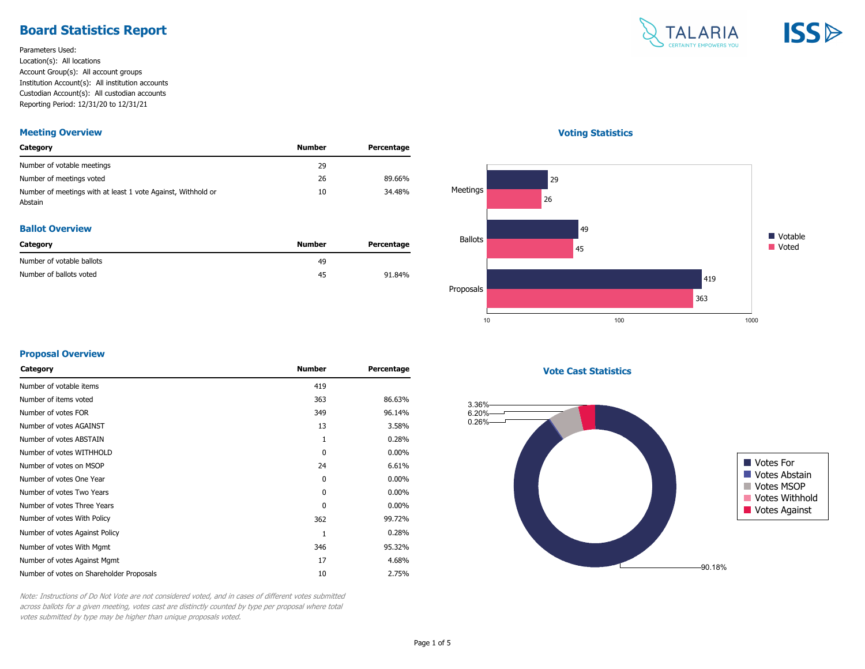# **Board Statistics Report**

Parameters Used: Location(s): All locations Account Group(s): All account groups Institution Account(s): All institution accounts Custodian Account(s): All custodian accounts Reporting Period: 12/31/20 to 12/31/21

#### **Meeting Overview**

| Category                                                                | Number | Percentage |
|-------------------------------------------------------------------------|--------|------------|
| Number of votable meetings                                              | 29     |            |
| Number of meetings voted                                                | 26     | 89.66%     |
| Number of meetings with at least 1 vote Against, Withhold or<br>Abstain | 10     | 34.48%     |

#### **Ballot Overview**

| Category                  | Number | Percentage |
|---------------------------|--------|------------|
| Number of votable ballots | 49     |            |
| Number of ballots voted   | 45     | 91.84%     |

# TALARIA **ISSB**

#### **Voting Statistics**



#### **Proposal Overview**

| Category                                 | <b>Number</b> | Percentage |
|------------------------------------------|---------------|------------|
| Number of votable items                  | 419           |            |
| Number of items voted                    | 363           | 86.63%     |
| Number of votes FOR                      | 349           | 96.14%     |
| Number of votes AGAINST                  | 13            | 3.58%      |
| Number of votes ABSTAIN                  | 1             | 0.28%      |
| Number of votes WITHHOLD                 | $\Omega$      | $0.00\%$   |
| Number of votes on MSOP                  | 24            | 6.61%      |
| Number of votes One Year                 | $\Omega$      | $0.00\%$   |
| Number of votes Two Years                | $\Omega$      | $0.00\%$   |
| Number of votes Three Years              | $\Omega$      | $0.00\%$   |
| Number of votes With Policy              | 362           | 99.72%     |
| Number of votes Against Policy           | 1             | 0.28%      |
| Number of votes With Mgmt                | 346           | 95.32%     |
| Number of votes Against Mgmt             | 17            | 4.68%      |
| Number of votes on Shareholder Proposals | 10            | 2.75%      |
|                                          |               |            |

**Vote Cast Statistics**



Note: Instructions of Do Not Vote are not considered voted, and in cases of different votes submitted across ballots for a given meeting, votes cast are distinctly counted by type per proposal where total votes submitted by type may be higher than unique proposals voted.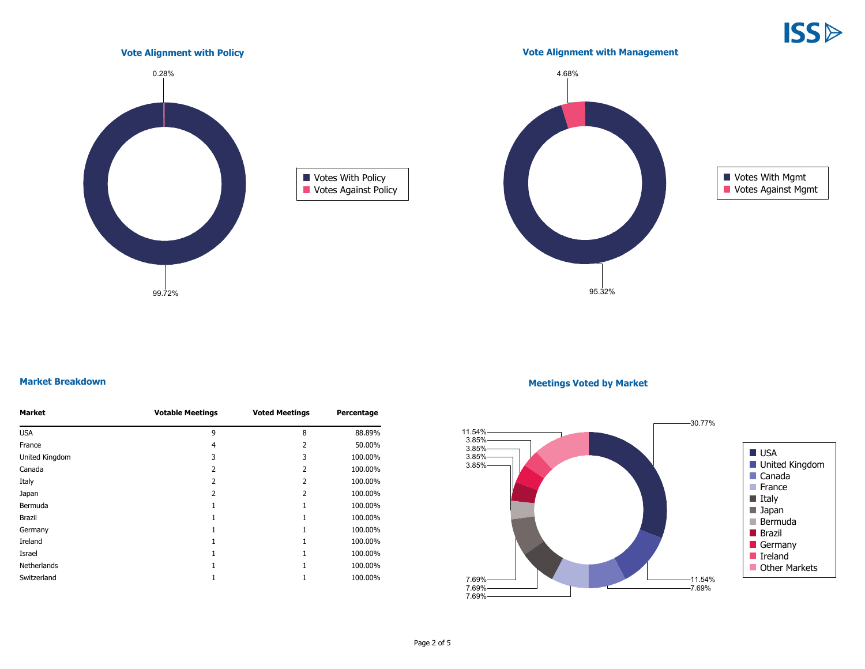**ISS** 



#### **Market Breakdown**

| <b>Market</b>  | <b>Votable Meetings</b> | <b>Voted Meetings</b> | Percentage |
|----------------|-------------------------|-----------------------|------------|
| <b>USA</b>     | 9                       | 8                     | 88.89%     |
| France         | 4                       | 2                     | 50.00%     |
| United Kingdom | 3                       | 3                     | 100.00%    |
| Canada         | 2                       | 2                     | 100.00%    |
| Italy          | 2                       | 2                     | 100.00%    |
| Japan          | 2                       | 2                     | 100.00%    |
| Bermuda        |                         |                       | 100.00%    |
| Brazil         |                         |                       | 100.00%    |
| Germany        |                         |                       | 100.00%    |
| Ireland        |                         |                       | 100.00%    |
| Israel         |                         |                       | 100.00%    |
| Netherlands    |                         |                       | 100.00%    |
| Switzerland    |                         |                       | 100.00%    |

#### **Meetings Voted by Market**

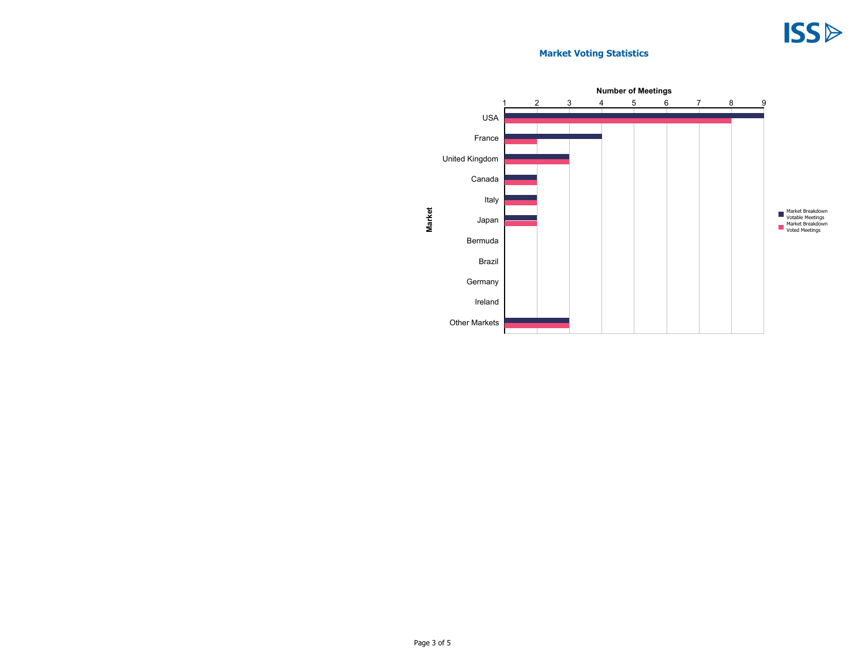# **Market Voting Statistics**

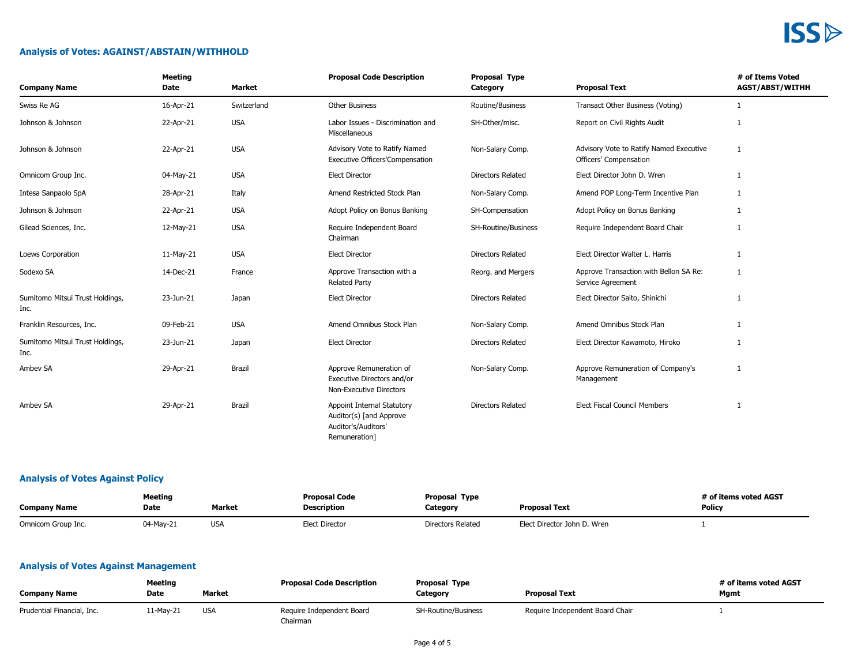# **ISS**

# **Analysis of Votes: AGAINST/ABSTAIN/WITHHOLD**

| <b>Company Name</b>                     | <b>Meeting</b><br>Date | <b>Market</b> | <b>Proposal Code Description</b>                                                              | Proposal Type<br>Category | <b>Proposal Text</b>                                              | # of Items Voted<br><b>AGST/ABST/WITHH</b> |
|-----------------------------------------|------------------------|---------------|-----------------------------------------------------------------------------------------------|---------------------------|-------------------------------------------------------------------|--------------------------------------------|
| Swiss Re AG                             | 16-Apr-21              | Switzerland   | <b>Other Business</b>                                                                         | Routine/Business          | Transact Other Business (Voting)                                  | 1                                          |
| Johnson & Johnson                       | 22-Apr-21              | <b>USA</b>    | Labor Issues - Discrimination and<br>Miscellaneous                                            | SH-Other/misc.            | Report on Civil Rights Audit                                      | $\mathbf{1}$                               |
| Johnson & Johnson                       | 22-Apr-21              | <b>USA</b>    | Advisory Vote to Ratify Named<br><b>Executive Officers'Compensation</b>                       | Non-Salary Comp.          | Advisory Vote to Ratify Named Executive<br>Officers' Compensation | 1                                          |
| Omnicom Group Inc.                      | 04-May-21              | <b>USA</b>    | <b>Elect Director</b>                                                                         | <b>Directors Related</b>  | Elect Director John D. Wren                                       | 1                                          |
| Intesa Sanpaolo SpA                     | 28-Apr-21              | Italy         | Amend Restricted Stock Plan                                                                   | Non-Salary Comp.          | Amend POP Long-Term Incentive Plan                                | 1                                          |
| Johnson & Johnson                       | 22-Apr-21              | <b>USA</b>    | Adopt Policy on Bonus Banking                                                                 | SH-Compensation           | Adopt Policy on Bonus Banking                                     | $\mathbf{1}$                               |
| Gilead Sciences, Inc.                   | 12-May-21              | <b>USA</b>    | Require Independent Board<br>Chairman                                                         | SH-Routine/Business       | Require Independent Board Chair                                   | 1                                          |
| Loews Corporation                       | 11-May-21              | <b>USA</b>    | <b>Elect Director</b>                                                                         | Directors Related         | Elect Director Walter L. Harris                                   | 1                                          |
| Sodexo SA                               | 14-Dec-21              | France        | Approve Transaction with a<br><b>Related Party</b>                                            | Reorg. and Mergers        | Approve Transaction with Bellon SA Re:<br>Service Agreement       | 1                                          |
| Sumitomo Mitsui Trust Holdings,<br>Inc. | 23-Jun-21              | Japan         | <b>Elect Director</b>                                                                         | <b>Directors Related</b>  | Elect Director Saito, Shinichi                                    | $\mathbf{1}$                               |
| Franklin Resources, Inc.                | 09-Feb-21              | <b>USA</b>    | Amend Omnibus Stock Plan                                                                      | Non-Salary Comp.          | Amend Omnibus Stock Plan                                          | 1                                          |
| Sumitomo Mitsui Trust Holdings,<br>Inc. | 23-Jun-21              | Japan         | <b>Elect Director</b>                                                                         | Directors Related         | Elect Director Kawamoto, Hiroko                                   | 1                                          |
| Ambev SA                                | 29-Apr-21              | Brazil        | Approve Remuneration of<br>Executive Directors and/or<br>Non-Executive Directors              | Non-Salary Comp.          | Approve Remuneration of Company's<br>Management                   | 1                                          |
| Ambev SA                                | 29-Apr-21              | Brazil        | Appoint Internal Statutory<br>Auditor(s) [and Approve<br>Auditor's/Auditors'<br>Remuneration] | <b>Directors Related</b>  | <b>Elect Fiscal Council Members</b>                               | 1                                          |

# **Analysis of Votes Against Policy**

| <b>Company Name</b> | <b>Meeting</b><br>Date. | Market          | <b>Proposal Code</b><br><b>Description</b> | <b>Proposal Type</b><br><b>Proposal Text</b><br>Category |                             | t of items voted AGST<br><b>Policy</b> |
|---------------------|-------------------------|-----------------|--------------------------------------------|----------------------------------------------------------|-----------------------------|----------------------------------------|
| Omnicom Group Inc.  | 04-May-21               | US <sub>I</sub> | <b>Elect Director</b>                      | <b>Directors Related</b>                                 | Elect Director John D. Wren |                                        |

# **Analysis of Votes Against Management**

| <b>Company Name</b>        | Meeting<br>Date | <b>Market</b> | <b>Proposal Code Description</b>      | Proposal Type<br>Category | <b>Proposal Text</b>            | # of items voted AGST<br>Mgmt |
|----------------------------|-----------------|---------------|---------------------------------------|---------------------------|---------------------------------|-------------------------------|
| Prudential Financial, Inc. | 11-Mav-21       | <b>USA</b>    | Require Independent Board<br>Chairman | SH-Routine/Business       | Require Independent Board Chair |                               |